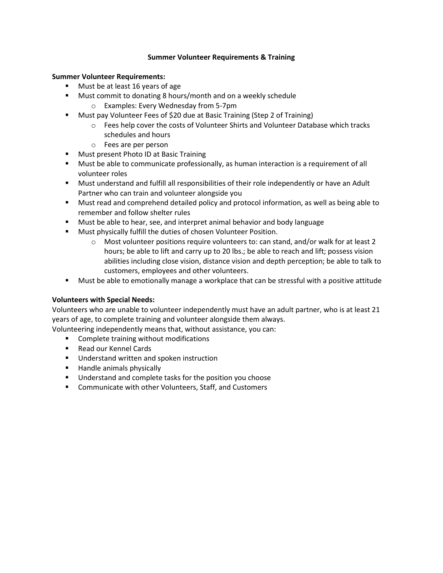## **Summer Volunteer Requirements & Training**

## **Summer Volunteer Requirements:**

- Must be at least 16 years of age
- Must commit to donating 8 hours/month and on a weekly schedule o Examples: Every Wednesday from 5-7pm
- Must pay Volunteer Fees of \$20 due at Basic Training (Step 2 of Training)
	- o Fees help cover the costs of Volunteer Shirts and Volunteer Database which tracks schedules and hours
	- o Fees are per person
- Must present Photo ID at Basic Training
- Must be able to communicate professionally, as human interaction is a requirement of all volunteer roles
- Must understand and fulfill all responsibilities of their role independently or have an Adult Partner who can train and volunteer alongside you
- Must read and comprehend detailed policy and protocol information, as well as being able to remember and follow shelter rules
- Must be able to hear, see, and interpret animal behavior and body language
- Must physically fulfill the duties of chosen Volunteer Position.
	- $\circ$  Most volunteer positions require volunteers to: can stand, and/or walk for at least 2 hours; be able to lift and carry up to 20 lbs.; be able to reach and lift; possess vision abilities including close vision, distance vision and depth perception; be able to talk to customers, employees and other volunteers.
- Must be able to emotionally manage a workplace that can be stressful with a positive attitude

## **Volunteers with Special Needs:**

Volunteers who are unable to volunteer independently must have an adult partner, who is at least 21 years of age, to complete training and volunteer alongside them always.

Volunteering independently means that, without assistance, you can:

- Complete training without modifications
- Read our Kennel Cards
- Understand written and spoken instruction
- Handle animals physically
- Understand and complete tasks for the position you choose
- Communicate with other Volunteers, Staff, and Customers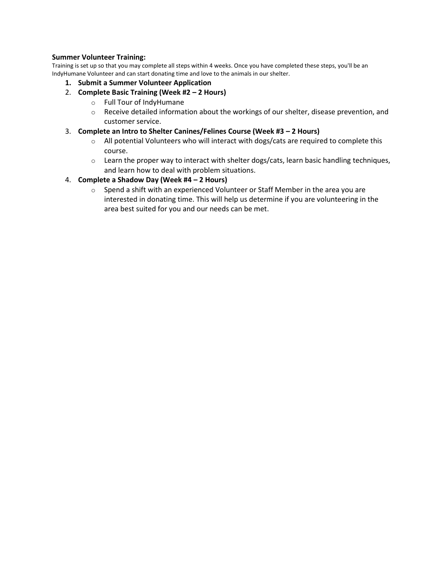# **Summer Volunteer Training:**

Training is set up so that you may complete all steps within 4 weeks. Once you have completed these steps, you'll be an IndyHumane Volunteer and can start donating time and love to the animals in our shelter.

- **1. Submit a Summer Volunteer Application**
- 2. **Complete Basic Training (Week #2 – 2 Hours)**
	- o Full Tour of IndyHumane
	- o Receive detailed information about the workings of our shelter, disease prevention, and customer service.
- 3. **Complete an Intro to Shelter Canines/Felines Course (Week #3 – 2 Hours)**
	- $\circ$  All potential Volunteers who will interact with dogs/cats are required to complete this course.
	- $\circ$  Learn the proper way to interact with shelter dogs/cats, learn basic handling techniques, and learn how to deal with problem situations.

# 4. **Complete a Shadow Day (Week #4 – 2 Hours)**

 $\circ$  Spend a shift with an experienced Volunteer or Staff Member in the area you are interested in donating time. This will help us determine if you are volunteering in the area best suited for you and our needs can be met.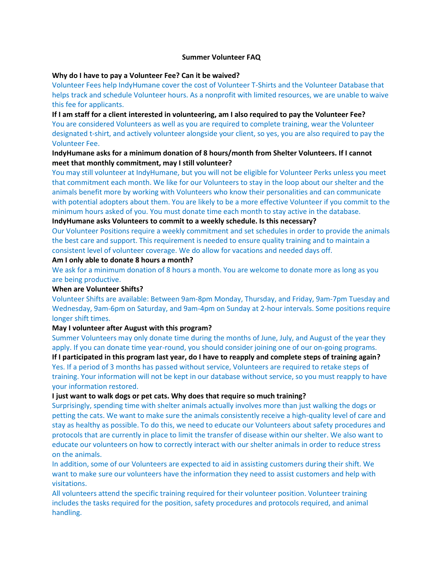### **Summer Volunteer FAQ**

### **Why do I have to pay a Volunteer Fee? Can it be waived?**

Volunteer Fees help IndyHumane cover the cost of Volunteer T-Shirts and the Volunteer Database that helps track and schedule Volunteer hours. As a nonprofit with limited resources, we are unable to waive this fee for applicants.

**If I am staff for a client interested in volunteering, am I also required to pay the Volunteer Fee?**  You are considered Volunteers as well as you are required to complete training, wear the Volunteer designated t-shirt, and actively volunteer alongside your client, so yes, you are also required to pay the Volunteer Fee.

# **IndyHumane asks for a minimum donation of 8 hours/month from Shelter Volunteers. If I cannot meet that monthly commitment, may I still volunteer?**

You may still volunteer at IndyHumane, but you will not be eligible for Volunteer Perks unless you meet that commitment each month. We like for our Volunteers to stay in the loop about our shelter and the animals benefit more by working with Volunteers who know their personalities and can communicate with potential adopters about them. You are likely to be a more effective Volunteer if you commit to the minimum hours asked of you. You must donate time each month to stay active in the database.

### **IndyHumane asks Volunteers to commit to a weekly schedule. Is this necessary?**

Our Volunteer Positions require a weekly commitment and set schedules in order to provide the animals the best care and support. This requirement is needed to ensure quality training and to maintain a consistent level of volunteer coverage. We do allow for vacations and needed days off.

#### **Am I only able to donate 8 hours a month?**

We ask for a minimum donation of 8 hours a month. You are welcome to donate more as long as you are being productive.

#### **When are Volunteer Shifts?**

Volunteer Shifts are available: Between 9am-8pm Monday, Thursday, and Friday, 9am-7pm Tuesday and Wednesday, 9am-6pm on Saturday, and 9am-4pm on Sunday at 2-hour intervals. Some positions require longer shift times.

#### **May I volunteer after August with this program?**

Summer Volunteers may only donate time during the months of June, July, and August of the year they apply. If you can donate time year-round, you should consider joining one of our on-going programs. **If I participated in this program last year, do I have to reapply and complete steps of training again?** Yes. If a period of 3 months has passed without service, Volunteers are required to retake steps of training. Your information will not be kept in our database without service, so you must reapply to have your information restored.

#### **I just want to walk dogs or pet cats. Why does that require so much training?**

Surprisingly, spending time with shelter animals actually involves more than just walking the dogs or petting the cats. We want to make sure the animals consistently receive a high-quality level of care and stay as healthy as possible. To do this, we need to educate our Volunteers about safety procedures and protocols that are currently in place to limit the transfer of disease within our shelter. We also want to educate our volunteers on how to correctly interact with our shelter animals in order to reduce stress on the animals.

In addition, some of our Volunteers are expected to aid in assisting customers during their shift. We want to make sure our volunteers have the information they need to assist customers and help with visitations.

All volunteers attend the specific training required for their volunteer position. Volunteer training includes the tasks required for the position, safety procedures and protocols required, and animal handling.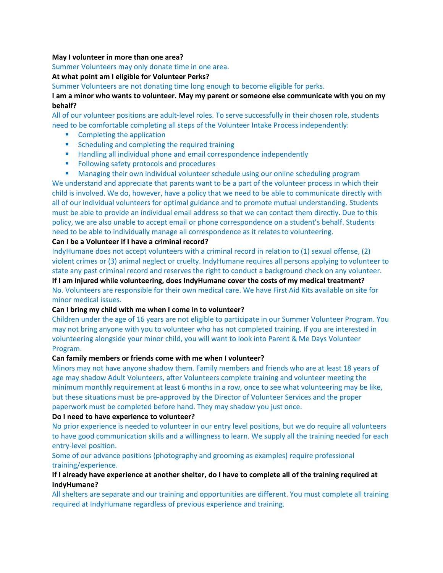### **May I volunteer in more than one area?**

Summer Volunteers may only donate time in one area.

## **At what point am I eligible for Volunteer Perks?**

Summer Volunteers are not donating time long enough to become eligible for perks.

**I am a minor who wants to volunteer. May my parent or someone else communicate with you on my behalf?** 

All of our volunteer positions are adult-level roles. To serve successfully in their chosen role, students need to be comfortable completing all steps of the Volunteer Intake Process independently:

- Completing the application
- Scheduling and completing the required training
- Handling all individual phone and email correspondence independently
- Following safety protocols and procedures
- **■** Managing their own individual volunteer schedule using our online scheduling program

We understand and appreciate that parents want to be a part of the volunteer process in which their child is involved. We do, however, have a policy that we need to be able to communicate directly with all of our individual volunteers for optimal guidance and to promote mutual understanding. Students must be able to provide an individual email address so that we can contact them directly. Due to this policy, we are also unable to accept email or phone correspondence on a student's behalf. Students need to be able to individually manage all correspondence as it relates to volunteering.

# **Can I be a Volunteer if I have a criminal record?**

IndyHumane does not accept volunteers with a criminal record in relation to (1) sexual offense, (2) violent crimes or (3) animal neglect or cruelty. IndyHumane requires all persons applying to volunteer to state any past criminal record and reserves the right to conduct a background check on any volunteer.

**If I am injured while volunteering, does IndyHumane cover the costs of my medical treatment?**  No. Volunteers are responsible for their own medical care. We have First Aid Kits available on site for minor medical issues.

## **Can I bring my child with me when I come in to volunteer?**

Children under the age of 16 years are not eligible to participate in our Summer Volunteer Program. You may not bring anyone with you to volunteer who has not completed training. If you are interested in volunteering alongside your minor child, you will want to look into Parent & Me Days Volunteer Program.

## **Can family members or friends come with me when I volunteer?**

Minors may not have anyone shadow them. Family members and friends who are at least 18 years of age may shadow Adult Volunteers, after Volunteers complete training and volunteer meeting the minimum monthly requirement at least 6 months in a row, once to see what volunteering may be like, but these situations must be pre-approved by the Director of Volunteer Services and the proper paperwork must be completed before hand. They may shadow you just once.

## **Do I need to have experience to volunteer?**

No prior experience is needed to volunteer in our entry level positions, but we do require all volunteers to have good communication skills and a willingness to learn. We supply all the training needed for each entry-level position.

Some of our advance positions (photography and grooming as examples) require professional training/experience.

# **If I already have experience at another shelter, do I have to complete all of the training required at IndyHumane?**

All shelters are separate and our training and opportunities are different. You must complete all training required at IndyHumane regardless of previous experience and training.